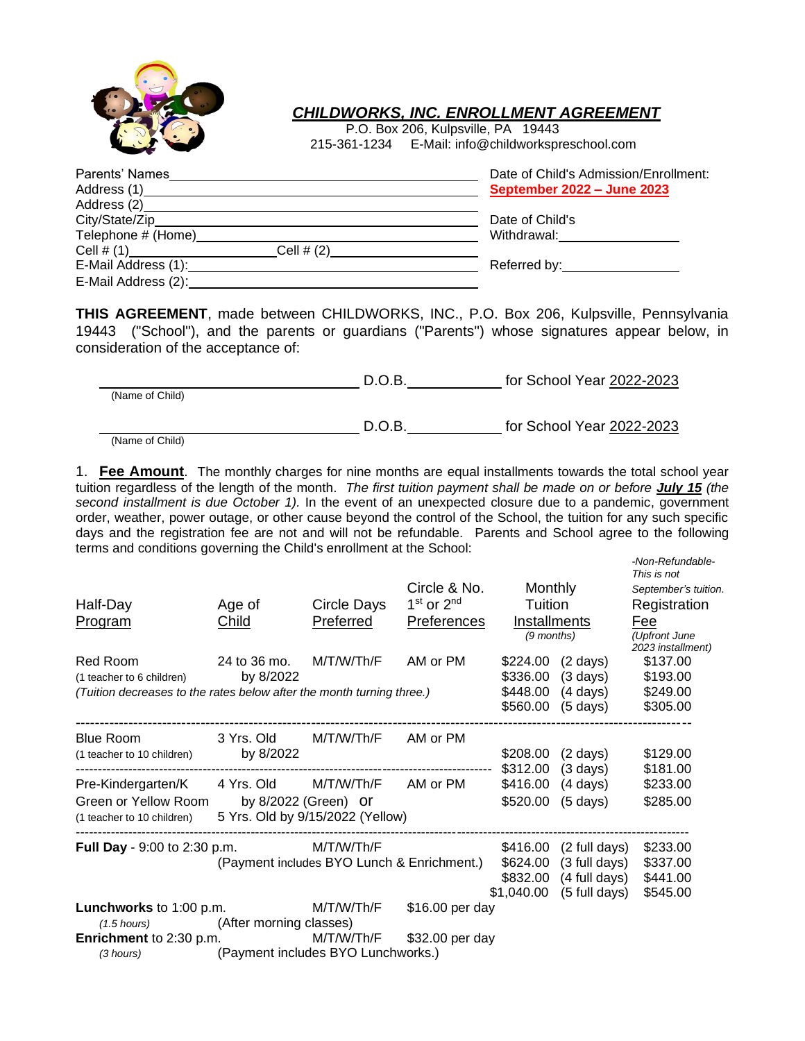

## *CHILDWORKS, INC. ENROLLMENT AGREEMENT*

P.O. Box 206, Kulpsville, PA 19443 215-361-1234 E-Mail: info@childworkspreschool.com

| Date of Child's Admission/Enrollment:    |
|------------------------------------------|
| September 2022 - June 2023               |
|                                          |
| Date of Child's                          |
| Withdrawal: <b>Withdrawal</b>            |
|                                          |
| Referred by: Network of the Referred by: |
|                                          |
|                                          |

**THIS AGREEMENT**, made between CHILDWORKS, INC., P.O. Box 206, Kulpsville, Pennsylvania 19443 ("School"), and the parents or guardians ("Parents") whose signatures appear below, in consideration of the acceptance of:

|                                         | D.O.B. | for School Year 2022-2023 |
|-----------------------------------------|--------|---------------------------|
| (Name of Child)                         |        |                           |
|                                         | D.O.B. | for School Year 2022-2023 |
| $\cdots$<br>$\sim$ $\sim$ $\sim$ $\sim$ |        |                           |

(Name of Child)

1. **Fee Amount**. The monthly charges for nine months are equal installments towards the total school year tuition regardless of the length of the month. *The first tuition payment shall be made on or before July 15 (the second installment is due October 1).* In the event of an unexpected closure due to a pandemic, government order, weather, power outage, or other cause beyond the control of the School, the tuition for any such specific days and the registration fee are not and will not be refundable. Parents and School agree to the following terms and conditions governing the Child's enrollment at the School:

|                                                                       |                                    |                                            |                    |                      |                    | -Non-Refundable-<br>This is not |
|-----------------------------------------------------------------------|------------------------------------|--------------------------------------------|--------------------|----------------------|--------------------|---------------------------------|
|                                                                       |                                    |                                            | Circle & No.       | Monthly              |                    | September's tuition.            |
| Half-Day                                                              | Age of                             | Circle Days                                | $1st$ or $2nd$     | Tuition              |                    | Registration                    |
| Program                                                               | <b>Child</b>                       | Preferred                                  | <b>Preferences</b> | <b>Installments</b>  |                    | Fee                             |
|                                                                       |                                    |                                            |                    | (9 months)           |                    | (Upfront June                   |
|                                                                       |                                    |                                            |                    |                      |                    | 2023 installment)               |
| Red Room                                                              | 24 to 36 mo.                       | M/T/W/Th/F                                 | AM or PM           | \$224.00             | $(2 \text{ days})$ | \$137.00                        |
| (1 teacher to 6 children)                                             | by 8/2022                          |                                            |                    | \$336.00             | $(3 \text{ days})$ | \$193.00                        |
| (Tuition decreases to the rates below after the month turning three.) |                                    |                                            |                    | \$448.00<br>\$560.00 | $(4 \text{ days})$ | \$249.00                        |
|                                                                       |                                    |                                            |                    |                      | $(5 \text{ days})$ | \$305.00                        |
| <b>Blue Room</b>                                                      | 3 Yrs. Old                         | M/T/W/Th/F                                 | AM or PM           |                      |                    |                                 |
| (1 teacher to 10 children)                                            | by 8/2022                          |                                            |                    | \$208.00             | $(2 \text{ days})$ | \$129.00                        |
|                                                                       |                                    |                                            |                    | \$312.00             | $(3 \text{ days})$ | \$181.00                        |
| Pre-Kindergarten/K                                                    | 4 Yrs. Old                         | M/T/W/Th/F                                 | AM or PM           | \$416.00             | (4 days)           | \$233.00                        |
| Green or Yellow Room                                                  |                                    | by 8/2022 (Green) or                       |                    | \$520.00             | $(5 \text{ days})$ | \$285.00                        |
| (1 teacher to 10 children)                                            |                                    | 5 Yrs. Old by 9/15/2022 (Yellow)           |                    |                      |                    |                                 |
|                                                                       |                                    |                                            |                    |                      |                    |                                 |
| <b>Full Day</b> - 9:00 to 2:30 p.m.                                   |                                    | M/T/W/Th/F                                 |                    | \$416.00             | (2 full days)      | \$233.00                        |
|                                                                       |                                    | (Payment includes BYO Lunch & Enrichment.) |                    | \$624.00             | (3 full days)      | \$337.00                        |
|                                                                       |                                    |                                            |                    | \$832.00             | (4 full days)      | \$441.00                        |
|                                                                       |                                    |                                            |                    | \$1,040.00           | (5 full days)      | \$545.00                        |
| Lunchworks to 1:00 p.m.                                               |                                    | M/T/W/Th/F                                 | \$16.00 per day    |                      |                    |                                 |
| $(1.5 \text{ hours})$                                                 | (After morning classes)            |                                            |                    |                      |                    |                                 |
| <b>Enrichment</b> to 2:30 p.m.                                        |                                    | M/T/W/Th/F                                 | \$32.00 per day    |                      |                    |                                 |
| (3 hours)                                                             | (Payment includes BYO Lunchworks.) |                                            |                    |                      |                    |                                 |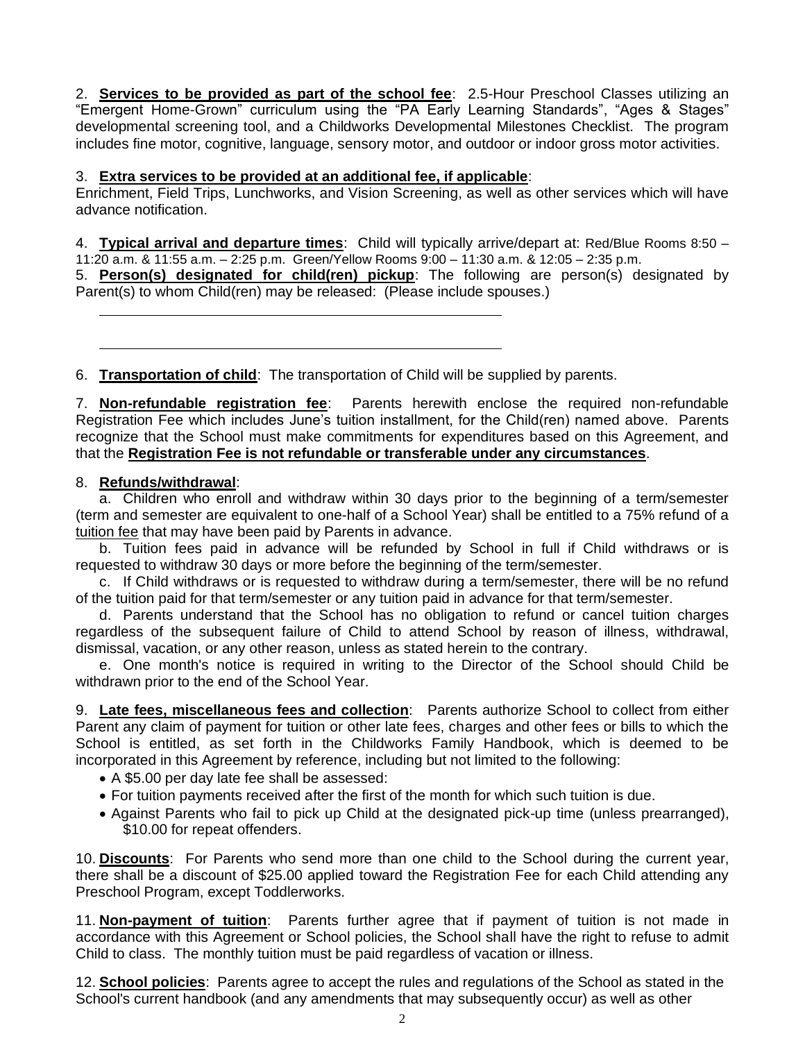2. **Services to be provided as part of the school fee**: 2.5-Hour Preschool Classes utilizing an "Emergent Home-Grown" curriculum using the "PA Early Learning Standards", "Ages & Stages" developmental screening tool, and a Childworks Developmental Milestones Checklist. The program includes fine motor, cognitive, language, sensory motor, and outdoor or indoor gross motor activities.

## 3. **Extra services to be provided at an additional fee, if applicable**:

Enrichment, Field Trips, Lunchworks, and Vision Screening, as well as other services which will have advance notification.

4. **Typical arrival and departure times**: Child will typically arrive/depart at: Red/Blue Rooms 8:50 – 11:20 a.m. & 11:55 a.m. – 2:25 p.m. Green/Yellow Rooms 9:00 – 11:30 a.m. & 12:05 – 2:35 p.m.

5. **Person(s) designated for child(ren) pickup**: The following are person(s) designated by Parent(s) to whom Child(ren) may be released: (Please include spouses.)

6. **Transportation of child**: The transportation of Child will be supplied by parents.

7. **Non-refundable registration fee**: Parents herewith enclose the required non-refundable Registration Fee which includes June's tuition installment, for the Child(ren) named above. Parents recognize that the School must make commitments for expenditures based on this Agreement, and that the **Registration Fee is not refundable or transferable under any circumstances**.

## 8. **Refunds/withdrawal**:

a. Children who enroll and withdraw within 30 days prior to the beginning of a term/semester (term and semester are equivalent to one-half of a School Year) shall be entitled to a 75% refund of a tuition fee that may have been paid by Parents in advance.

b. Tuition fees paid in advance will be refunded by School in full if Child withdraws or is requested to withdraw 30 days or more before the beginning of the term/semester.

c. If Child withdraws or is requested to withdraw during a term/semester, there will be no refund of the tuition paid for that term/semester or any tuition paid in advance for that term/semester.

d. Parents understand that the School has no obligation to refund or cancel tuition charges regardless of the subsequent failure of Child to attend School by reason of illness, withdrawal, dismissal, vacation, or any other reason, unless as stated herein to the contrary.

e. One month's notice is required in writing to the Director of the School should Child be withdrawn prior to the end of the School Year.

9. **Late fees, miscellaneous fees and collection**: Parents authorize School to collect from either Parent any claim of payment for tuition or other late fees, charges and other fees or bills to which the School is entitled, as set forth in the Childworks Family Handbook, which is deemed to be incorporated in this Agreement by reference, including but not limited to the following:

- A \$5.00 per day late fee shall be assessed:
- For tuition payments received after the first of the month for which such tuition is due.
- Against Parents who fail to pick up Child at the designated pick-up time (unless prearranged), \$10.00 for repeat offenders.

10. **Discounts**: For Parents who send more than one child to the School during the current year, there shall be a discount of \$25.00 applied toward the Registration Fee for each Child attending any Preschool Program, except Toddlerworks.

11. **Non-payment of tuition**: Parents further agree that if payment of tuition is not made in accordance with this Agreement or School policies, the School shall have the right to refuse to admit Child to class. The monthly tuition must be paid regardless of vacation or illness.

12. **School policies**: Parents agree to accept the rules and regulations of the School as stated in the School's current handbook (and any amendments that may subsequently occur) as well as other